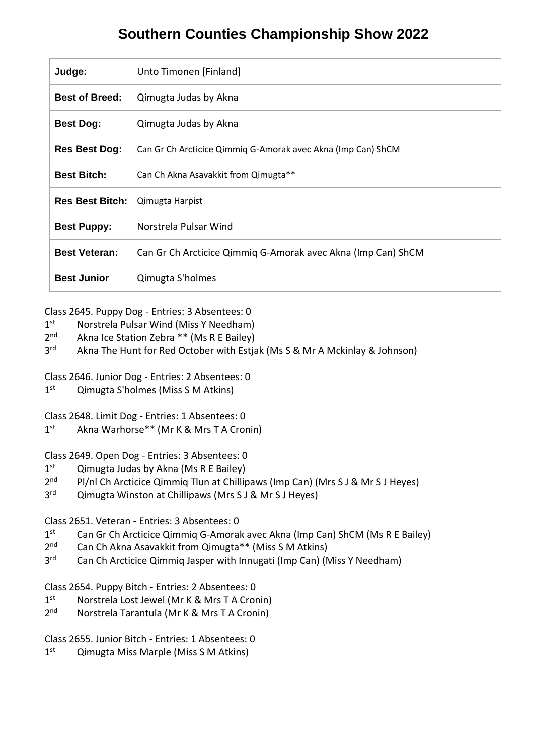## **Southern Counties Championship Show 2022**

| Judge:                 | Unto Timonen [Finland]                                       |
|------------------------|--------------------------------------------------------------|
| <b>Best of Breed:</b>  | Qimugta Judas by Akna                                        |
| <b>Best Dog:</b>       | Qimugta Judas by Akna                                        |
| <b>Res Best Dog:</b>   | Can Gr Ch Arcticice Qimmig G-Amorak avec Akna (Imp Can) ShCM |
| <b>Best Bitch:</b>     | Can Ch Akna Asavakkit from Qimugta**                         |
| <b>Res Best Bitch:</b> | Qimugta Harpist                                              |
| <b>Best Puppy:</b>     | Norstrela Pulsar Wind                                        |
| <b>Best Veteran:</b>   | Can Gr Ch Arcticice Qimmiq G-Amorak avec Akna (Imp Can) ShCM |
| <b>Best Junior</b>     | Qimugta S'holmes                                             |

## Class 2645. Puppy Dog - Entries: 3 Absentees: 0

- $1^{\text{st}}$ Norstrela Pulsar Wind (Miss Y Needham)
- $2<sub>nd</sub>$ Akna Ice Station Zebra \*\* (Ms R E Bailey)
- $3<sup>rd</sup>$ Akna The Hunt for Red October with Estjak (Ms S & Mr A Mckinlay & Johnson)

Class 2646. Junior Dog - Entries: 2 Absentees: 0

 $1<sup>st</sup>$ Qimugta S'holmes (Miss S M Atkins)

Class 2648. Limit Dog - Entries: 1 Absentees: 0

 $1<sup>st</sup>$ Akna Warhorse\*\* (Mr K & Mrs T A Cronin)

## Class 2649. Open Dog - Entries: 3 Absentees: 0

- $1<sup>st</sup>$ Qimugta Judas by Akna (Ms R E Bailey)
- $2<sup>nd</sup>$ Pl/nl Ch Arcticice Qimmiq Tlun at Chillipaws (Imp Can) (Mrs S J & Mr S J Heyes)
- 3<sup>rd</sup> Qimugta Winston at Chillipaws (Mrs S J & Mr S J Heyes)

## Class 2651. Veteran - Entries: 3 Absentees: 0

- $1<sup>st</sup>$ Can Gr Ch Arcticice Qimmig G-Amorak avec Akna (Imp Can) ShCM (Ms R E Bailey)
- $2<sup>nd</sup>$ Can Ch Akna Asavakkit from Qimugta\*\* (Miss S M Atkins)
- $3<sup>rd</sup>$ Can Ch Arcticice Qimmiq Jasper with Innugati (Imp Can) (Miss Y Needham)

Class 2654. Puppy Bitch - Entries: 2 Absentees: 0

- $1<sup>st</sup>$ Norstrela Lost Jewel (Mr K & Mrs T A Cronin)
- $2<sup>nd</sup>$ Norstrela Tarantula (Mr K & Mrs T A Cronin)

Class 2655. Junior Bitch - Entries: 1 Absentees: 0

 $1<sup>st</sup>$ Qimugta Miss Marple (Miss S M Atkins)